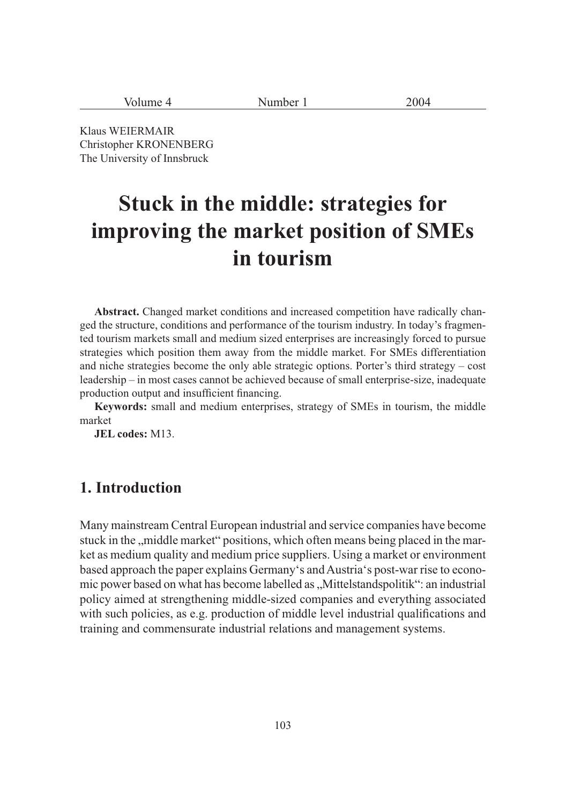| Volume | Number $\overline{1}$<br>$\sim$ $\sim$ | 2004 |
|--------|----------------------------------------|------|
|--------|----------------------------------------|------|

Klaus WEIERMAIR Christopher KRONENBERG The University of Innsbruck

# **Stuck in the middle: strategies for improving the market position of SMEs in tourism**

**Abstract.** Changed market conditions and increased competition have radically changed the structure, conditions and performance of the tourism industry. In today's fragmented tourism markets small and medium sized enterprises are increasingly forced to pursue strategies which position them away from the middle market. For SMEs differentiation and niche strategies become the only able strategic options. Porter's third strategy – cost leadership – in most cases cannot be achieved because of small enterprise-size, inadequate production output and insufficient financing.

**Keywords:** small and medium enterprises, strategy of SMEs in tourism, the middle market

**JEL codes:** M13.

### **1. Introduction**

Many mainstream Central European industrial and service companies have become stuck in the "middle market" positions, which often means being placed in the market as medium quality and medium price suppliers. Using a market or environment based approach the paper explains Germany's and Austria's post-war rise to economic power based on what has become labelled as "Mittelstandspolitik": an industrial policy aimed at strengthening middle-sized companies and everything associated with such policies, as e.g. production of middle level industrial qualifications and training and commensurate industrial relations and management systems.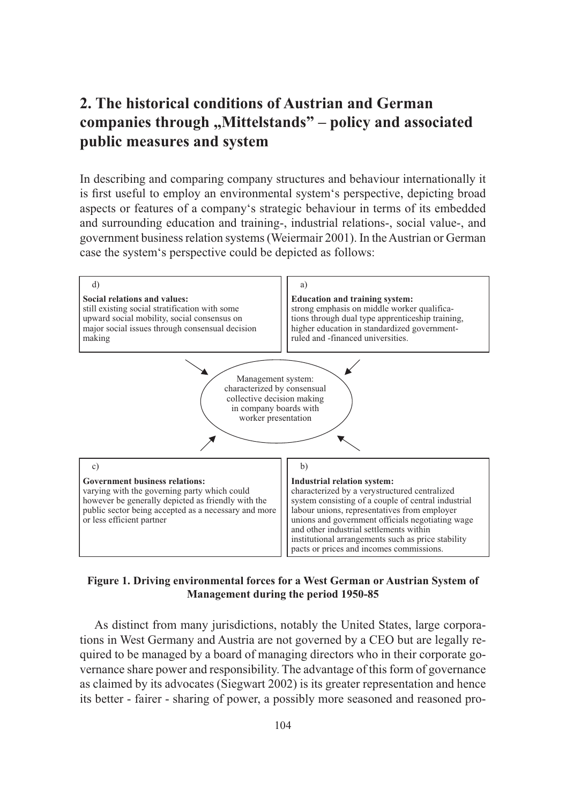# **2. The historical conditions of Austrian and German companies through "Mittelstands" – policy and associated public measures and system**

In describing and comparing company structures and behaviour internationally it is first useful to employ an environmental system's perspective, depicting broad aspects or features of a company's strategic behaviour in terms of its embedded and surrounding education and training-, industrial relations-, social value-, and government business relation systems (Weiermair 2001). In the Austrian or German case the system's perspective could be depicted as follows:



#### **Figure 1. Driving environmental forces for a West German or Austrian System of Management during the period 1950-85**

As distinct from many jurisdictions, notably the United States, large corporations in West Germany and Austria are not governed by a CEO but are legally required to be managed by a board of managing directors who in their corporate governance share power and responsibility. The advantage of this form of governance as claimed by its advocates (Siegwart 2002) is its greater representation and hence its better - fairer - sharing of power, a possibly more seasoned and reasoned pro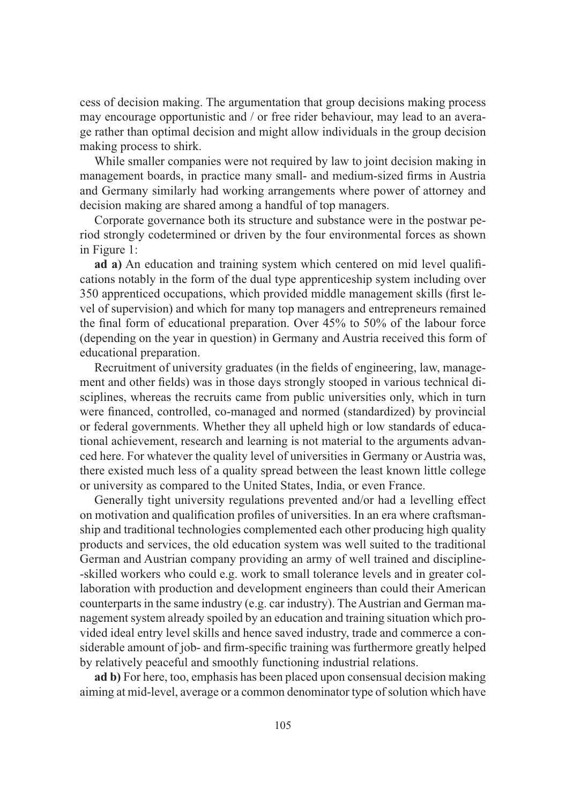cess of decision making. The argumentation that group decisions making process may encourage opportunistic and / or free rider behaviour, may lead to an average rather than optimal decision and might allow individuals in the group decision making process to shirk.

While smaller companies were not required by law to joint decision making in management boards, in practice many small- and medium-sized firms in Austria and Germany similarly had working arrangements where power of attorney and decision making are shared among a handful of top managers.

Corporate governance both its structure and substance were in the postwar period strongly codetermined or driven by the four environmental forces as shown in Figure 1:

**ad a)** An education and training system which centered on mid level qualifications notably in the form of the dual type apprenticeship system including over 350 apprenticed occupations, which provided middle management skills (first level of supervision) and which for many top managers and entrepreneurs remained the final form of educational preparation. Over 45% to 50% of the labour force (depending on the year in question) in Germany and Austria received this form of educational preparation.

Recruitment of university graduates (in the fields of engineering, law, management and other fields) was in those days strongly stooped in various technical disciplines, whereas the recruits came from public universities only, which in turn were financed, controlled, co-managed and normed (standardized) by provincial or federal governments. Whether they all upheld high or low standards of educational achievement, research and learning is not material to the arguments advanced here. For whatever the quality level of universities in Germany or Austria was, there existed much less of a quality spread between the least known little college or university as compared to the United States, India, or even France.

Generally tight university regulations prevented and/or had a levelling effect on motivation and qualification profiles of universities. In an era where craftsmanship and traditional technologies complemented each other producing high quality products and services, the old education system was well suited to the traditional German and Austrian company providing an army of well trained and discipline- -skilled workers who could e.g. work to small tolerance levels and in greater collaboration with production and development engineers than could their American counterparts in the same industry (e.g. car industry). The Austrian and German management system already spoiled by an education and training situation which provided ideal entry level skills and hence saved industry, trade and commerce a considerable amount of job- and firm-specific training was furthermore greatly helped by relatively peaceful and smoothly functioning industrial relations.

**ad b)** For here, too, emphasis has been placed upon consensual decision making aiming at mid-level, average or a common denominator type of solution which have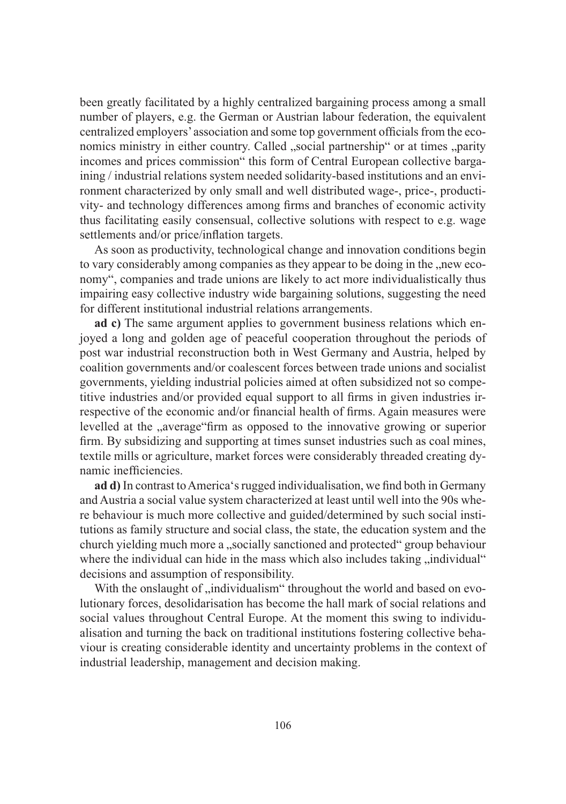been greatly facilitated by a highly centralized bargaining process among a small number of players, e.g. the German or Austrian labour federation, the equivalent centralized employers' association and some top government officials from the economics ministry in either country. Called "social partnership" or at times "parity incomes and prices commission" this form of Central European collective bargaining / industrial relations system needed solidarity-based institutions and an environment characterized by only small and well distributed wage-, price-, productivity- and technology differences among firms and branches of economic activity thus facilitating easily consensual, collective solutions with respect to e.g. wage settlements and/or price/inflation targets.

As soon as productivity, technological change and innovation conditions begin to vary considerably among companies as they appear to be doing in the "new economy", companies and trade unions are likely to act more individualistically thus impairing easy collective industry wide bargaining solutions, suggesting the need for different institutional industrial relations arrangements.

**ad c)** The same argument applies to government business relations which enjoyed a long and golden age of peaceful cooperation throughout the periods of post war industrial reconstruction both in West Germany and Austria, helped by coalition governments and/or coalescent forces between trade unions and socialist governments, yielding industrial policies aimed at often subsidized not so competitive industries and/or provided equal support to all firms in given industries irrespective of the economic and/or financial health of firms. Again measures were levelled at the "average"firm as opposed to the innovative growing or superior firm. By subsidizing and supporting at times sunset industries such as coal mines, textile mills or agriculture, market forces were considerably threaded creating dynamic inefficiencies.

**ad d)** In contrast to America's rugged individualisation, we find both in Germany and Austria a social value system characterized at least until well into the 90s where behaviour is much more collective and guided/determined by such social institutions as family structure and social class, the state, the education system and the church yielding much more a "socially sanctioned and protected" group behaviour where the individual can hide in the mass which also includes taking "individual" decisions and assumption of responsibility.

With the onslaught of "individualism" throughout the world and based on evolutionary forces, desolidarisation has become the hall mark of social relations and social values throughout Central Europe. At the moment this swing to individualisation and turning the back on traditional institutions fostering collective behaviour is creating considerable identity and uncertainty problems in the context of industrial leadership, management and decision making.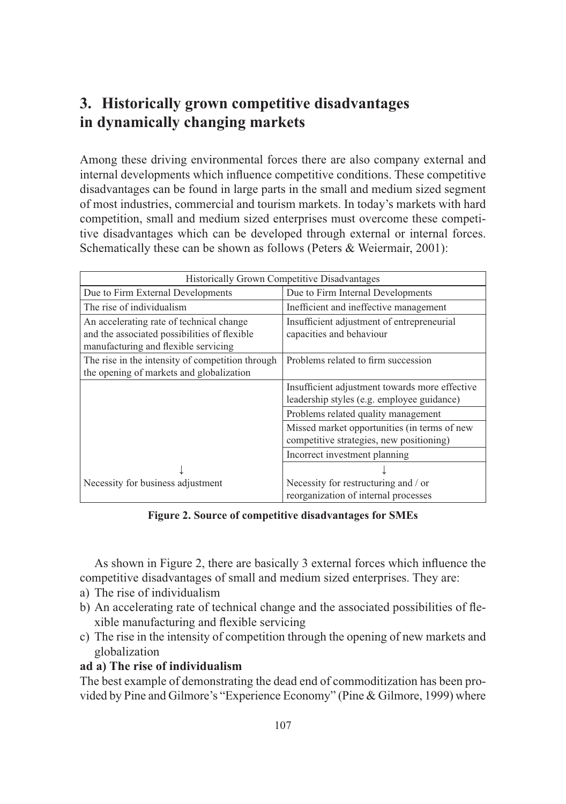# **3. Historically grown competitive disadvantages in dynamically changing markets**

Among these driving environmental forces there are also company external and internal developments which influence competitive conditions. These competitive disadvantages can be found in large parts in the small and medium sized segment of most industries, commercial and tourism markets. In today's markets with hard competition, small and medium sized enterprises must overcome these competitive disadvantages which can be developed through external or internal forces. Schematically these can be shown as follows (Peters & Weiermair, 2001):

| <b>Historically Grown Competitive Disadvantages</b> |                                                |  |
|-----------------------------------------------------|------------------------------------------------|--|
| Due to Firm External Developments                   | Due to Firm Internal Developments              |  |
| The rise of individualism                           | Inefficient and ineffective management         |  |
| An accelerating rate of technical change            | Insufficient adjustment of entrepreneurial     |  |
| and the associated possibilities of flexible        | capacities and behaviour                       |  |
| manufacturing and flexible servicing                |                                                |  |
| The rise in the intensity of competition through    | Problems related to firm succession            |  |
| the opening of markets and globalization            |                                                |  |
|                                                     | Insufficient adjustment towards more effective |  |
|                                                     | leadership styles (e.g. employee guidance)     |  |
|                                                     | Problems related quality management            |  |
|                                                     | Missed market opportunities (in terms of new   |  |
|                                                     | competitive strategies, new positioning)       |  |
|                                                     | Incorrect investment planning                  |  |
|                                                     |                                                |  |
| Necessity for business adjustment                   | Necessity for restructuring and / or           |  |
|                                                     | reorganization of internal processes           |  |

**Figure 2. Source of competitive disadvantages for SMEs**

As shown in Figure 2, there are basically 3 external forces which influence the competitive disadvantages of small and medium sized enterprises. They are:

- a) The rise of individualism
- b) An accelerating rate of technical change and the associated possibilities of flexible manufacturing and flexible servicing
- c) The rise in the intensity of competition through the opening of new markets and globalization

#### **ad a) The rise of individualism**

The best example of demonstrating the dead end of commoditization has been provided by Pine and Gilmore's "Experience Economy" (Pine & Gilmore, 1999) where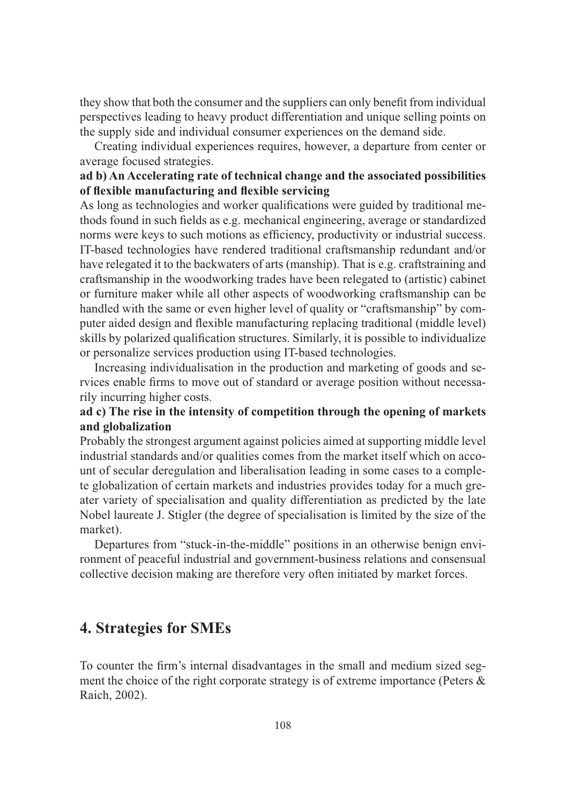they show that both the consumer and the suppliers can only benefit from individual perspectives leading to heavy product differentiation and unique selling points on the supply side and individual consumer experiences on the demand side.

Creating individual experiences requires, however, a departure from center or average focused strategies.

#### **ad b) An Accelerating rate of technical change and the associated possibilities of flexible manufacturing and flexible servicing**

As long as technologies and worker qualifications were guided by traditional methods found in such fields as e.g. mechanical engineering, average or standardized norms were keys to such motions as efficiency, productivity or industrial success. IT-based technologies have rendered traditional craftsmanship redundant and/or have relegated it to the backwaters of arts (manship). That is e.g. craftstraining and craftsmanship in the woodworking trades have been relegated to (artistic) cabinet or furniture maker while all other aspects of woodworking craftsmanship can be handled with the same or even higher level of quality or "craftsmanship" by computer aided design and flexible manufacturing replacing traditional (middle level) skills by polarized qualification structures. Similarly, it is possible to individualize or personalize services production using IT-based technologies.

Increasing individualisation in the production and marketing of goods and services enable firms to move out of standard or average position without necessarily incurring higher costs.

#### **ad c) The rise in the intensity of competition through the opening of markets and globalization**

Probably the strongest argument against policies aimed at supporting middle level industrial standards and/or qualities comes from the market itself which on account of secular deregulation and liberalisation leading in some cases to a complete globalization of certain markets and industries provides today for a much greater variety of specialisation and quality differentiation as predicted by the late Nobel laureate J. Stigler (the degree of specialisation is limited by the size of the market).

Departures from "stuck-in-the-middle" positions in an otherwise benign environment of peaceful industrial and government-business relations and consensual collective decision making are therefore very often initiated by market forces.

## **4. Strategies for SMEs**

To counter the firm's internal disadvantages in the small and medium sized segment the choice of the right corporate strategy is of extreme importance (Peters & Raich, 2002).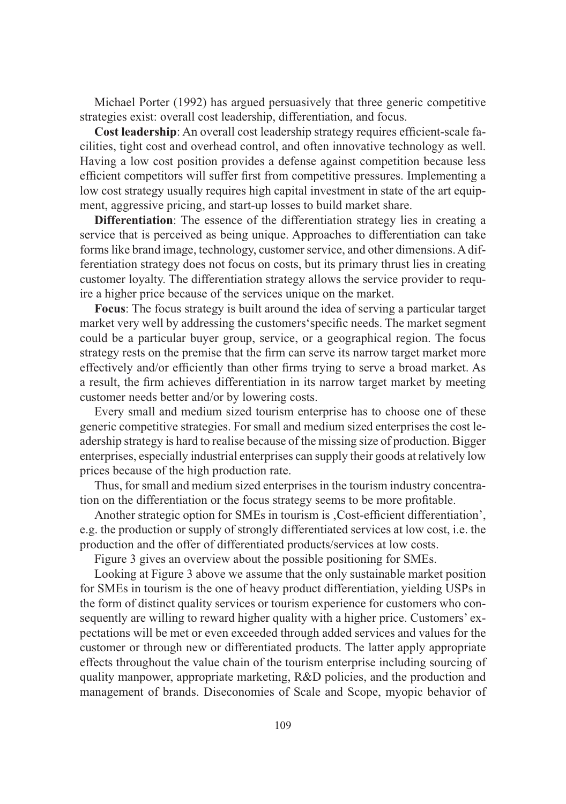Michael Porter (1992) has argued persuasively that three generic competitive strategies exist: overall cost leadership, differentiation, and focus.

**Cost leadership**: An overall cost leadership strategy requires efficient-scale facilities, tight cost and overhead control, and often innovative technology as well. Having a low cost position provides a defense against competition because less efficient competitors will suffer first from competitive pressures. Implementing a low cost strategy usually requires high capital investment in state of the art equipment, aggressive pricing, and start-up losses to build market share.

**Differentiation**: The essence of the differentiation strategy lies in creating a service that is perceived as being unique. Approaches to differentiation can take forms like brand image, technology, customer service, and other dimensions. A differentiation strategy does not focus on costs, but its primary thrust lies in creating customer loyalty. The differentiation strategy allows the service provider to require a higher price because of the services unique on the market.

**Focus**: The focus strategy is built around the idea of serving a particular target market very well by addressing the customers'specific needs. The market segment could be a particular buyer group, service, or a geographical region. The focus strategy rests on the premise that the firm can serve its narrow target market more effectively and/or efficiently than other firms trying to serve a broad market. As a result, the firm achieves differentiation in its narrow target market by meeting customer needs better and/or by lowering costs.

Every small and medium sized tourism enterprise has to choose one of these generic competitive strategies. For small and medium sized enterprises the cost leadership strategy is hard to realise because of the missing size of production. Bigger enterprises, especially industrial enterprises can supply their goods at relatively low prices because of the high production rate.

Thus, for small and medium sized enterprises in the tourism industry concentration on the differentiation or the focus strategy seems to be more profitable.

Another strategic option for SMEs in tourism is , Cost-efficient differentiation', e.g. the production or supply of strongly differentiated services at low cost, i.e. the production and the offer of differentiated products/services at low costs.

Figure 3 gives an overview about the possible positioning for SMEs.

Looking at Figure 3 above we assume that the only sustainable market position for SMEs in tourism is the one of heavy product differentiation, yielding USPs in the form of distinct quality services or tourism experience for customers who consequently are willing to reward higher quality with a higher price. Customers' expectations will be met or even exceeded through added services and values for the customer or through new or differentiated products. The latter apply appropriate effects throughout the value chain of the tourism enterprise including sourcing of quality manpower, appropriate marketing, R&D policies, and the production and management of brands. Diseconomies of Scale and Scope, myopic behavior of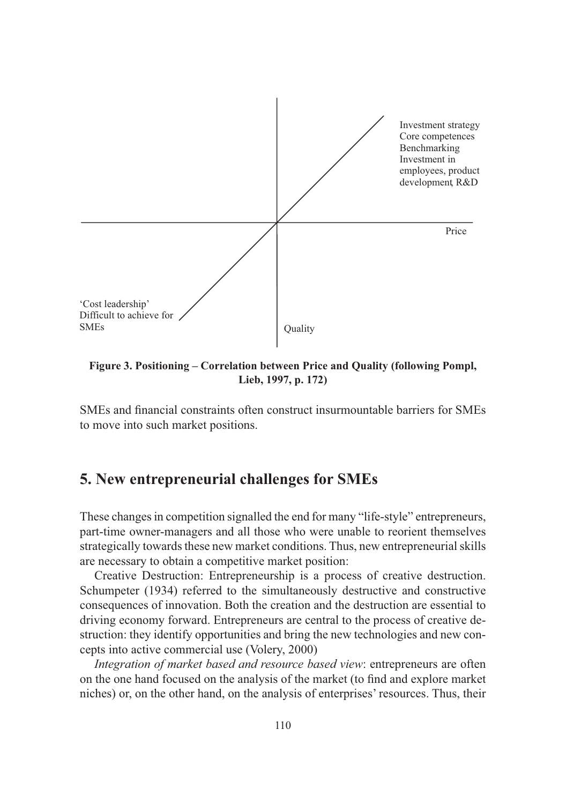

**Figure 3. Positioning – Correlation between Price and Quality (following Pompl, Lieb, 1997, p. 172)**

SMEs and financial constraints often construct insurmountable barriers for SMEs to move into such market positions.

## **5. New entrepreneurial challenges for SMEs**

These changes in competition signalled the end for many "life-style" entrepreneurs, part-time owner-managers and all those who were unable to reorient themselves strategically towards these new market conditions. Thus, new entrepreneurial skills are necessary to obtain a competitive market position:

Creative Destruction: Entrepreneurship is a process of creative destruction. Schumpeter (1934) referred to the simultaneously destructive and constructive consequences of innovation. Both the creation and the destruction are essential to driving economy forward. Entrepreneurs are central to the process of creative destruction: they identify opportunities and bring the new technologies and new concepts into active commercial use (Volery, 2000)

*Integration of market based and resource based view*: entrepreneurs are often on the one hand focused on the analysis of the market (to find and explore market niches) or, on the other hand, on the analysis of enterprises' resources. Thus, their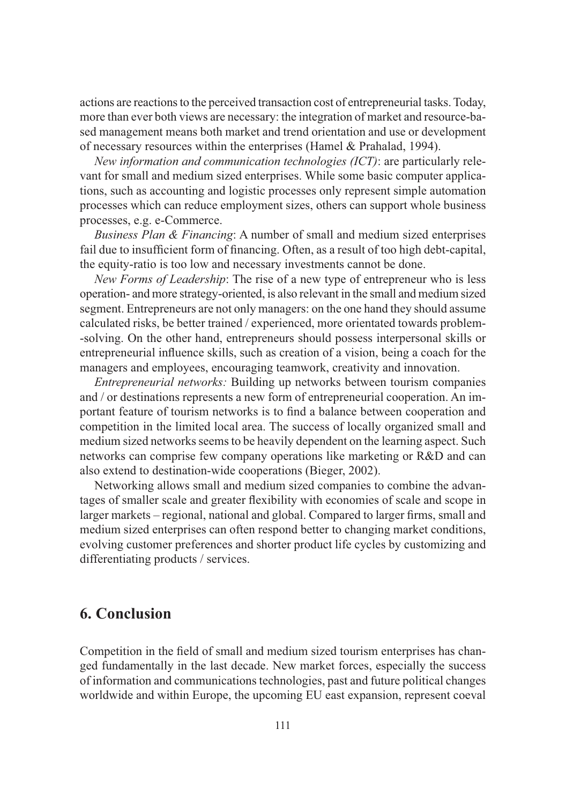actions are reactions to the perceived transaction cost of entrepreneurial tasks. Today, more than ever both views are necessary: the integration of market and resource-based management means both market and trend orientation and use or development of necessary resources within the enterprises (Hamel & Prahalad, 1994).

*New information and communication technologies (ICT)*: are particularly relevant for small and medium sized enterprises. While some basic computer applications, such as accounting and logistic processes only represent simple automation processes which can reduce employment sizes, others can support whole business processes, e.g. e-Commerce.

*Business Plan & Financing*: A number of small and medium sized enterprises fail due to insufficient form of financing. Often, as a result of too high debt-capital, the equity-ratio is too low and necessary investments cannot be done.

*New Forms of Leadership*: The rise of a new type of entrepreneur who is less operation- and more strategy-oriented, is also relevant in the small and medium sized segment. Entrepreneurs are not only managers: on the one hand they should assume calculated risks, be better trained / experienced, more orientated towards problem- -solving. On the other hand, entrepreneurs should possess interpersonal skills or entrepreneurial influence skills, such as creation of a vision, being a coach for the managers and employees, encouraging teamwork, creativity and innovation.

*Entrepreneurial networks:* Building up networks between tourism companies and / or destinations represents a new form of entrepreneurial cooperation. An important feature of tourism networks is to find a balance between cooperation and competition in the limited local area. The success of locally organized small and medium sized networks seems to be heavily dependent on the learning aspect. Such networks can comprise few company operations like marketing or R&D and can also extend to destination-wide cooperations (Bieger, 2002).

Networking allows small and medium sized companies to combine the advantages of smaller scale and greater flexibility with economies of scale and scope in larger markets – regional, national and global. Compared to larger firms, small and medium sized enterprises can often respond better to changing market conditions, evolving customer preferences and shorter product life cycles by customizing and differentiating products / services.

#### **6. Conclusion**

Competition in the field of small and medium sized tourism enterprises has changed fundamentally in the last decade. New market forces, especially the success of information and communications technologies, past and future political changes worldwide and within Europe, the upcoming EU east expansion, represent coeval